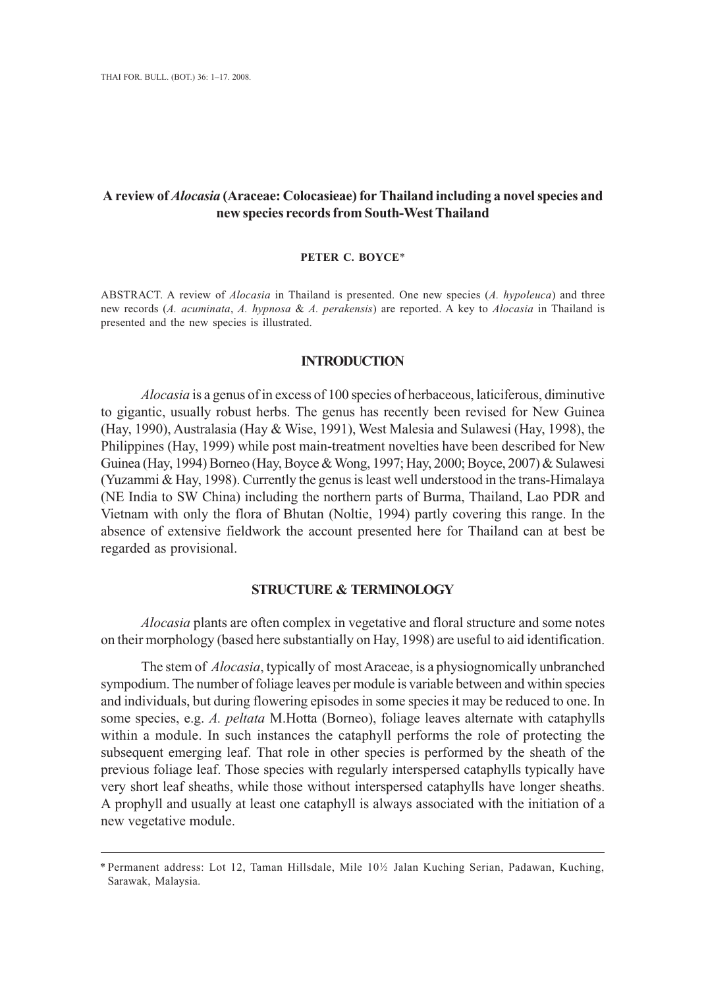# **A review of** *Alocasia* **(Araceae: Colocasieae) for Thailand including a novel species and new species records from South-West Thailand**

## **PETER C. BOYCE**\*

ABSTRACT. A review of *Alocasia* in Thailand is presented. One new species (*A. hypoleuca*) and three new records (*A. acuminata*, *A. hypnosa* & *A. perakensis*) are reported. A key to *Alocasia* in Thailand is presented and the new species is illustrated.

## **INTRODUCTION**

*Alocasia* is a genus of in excess of 100 species of herbaceous, laticiferous, diminutive to gigantic, usually robust herbs. The genus has recently been revised for New Guinea (Hay, 1990), Australasia (Hay & Wise, 1991), West Malesia and Sulawesi (Hay, 1998), the Philippines (Hay, 1999) while post main-treatment novelties have been described for New Guinea (Hay, 1994) Borneo (Hay, Boyce & Wong, 1997; Hay, 2000; Boyce, 2007) & Sulawesi (Yuzammi & Hay, 1998). Currently the genus is least well understood in the trans-Himalaya (NE India to SW China) including the northern parts of Burma, Thailand, Lao PDR and Vietnam with only the flora of Bhutan (Noltie, 1994) partly covering this range. In the absence of extensive fieldwork the account presented here for Thailand can at best be regarded as provisional.

## **STRUCTURE & TERMINOLOGY**

*Alocasia* plants are often complex in vegetative and floral structure and some notes on their morphology (based here substantially on Hay, 1998) are useful to aid identification.

The stem of *Alocasia*, typically of most Araceae, is a physiognomically unbranched sympodium. The number of foliage leaves per module is variable between and within species and individuals, but during flowering episodes in some species it may be reduced to one. In some species, e.g. *A. peltata* M.Hotta (Borneo), foliage leaves alternate with cataphylls within a module. In such instances the cataphyll performs the role of protecting the subsequent emerging leaf. That role in other species is performed by the sheath of the previous foliage leaf. Those species with regularly interspersed cataphylls typically have very short leaf sheaths, while those without interspersed cataphylls have longer sheaths. A prophyll and usually at least one cataphyll is always associated with the initiation of a new vegetative module.

<sup>\*</sup> Permanent address: Lot 12, Taman Hillsdale, Mile 10S Jalan Kuching Serian, Padawan, Kuching, Sarawak, Malaysia.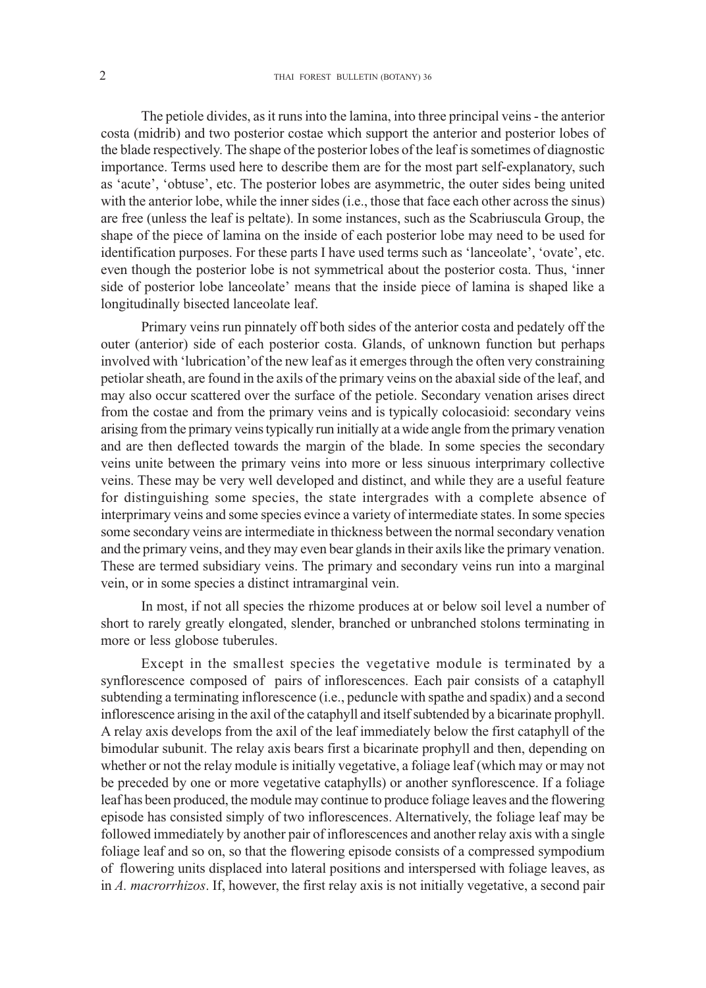The petiole divides, as it runs into the lamina, into three principal veins - the anterior costa (midrib) and two posterior costae which support the anterior and posterior lobes of the blade respectively. The shape of the posterior lobes of the leaf is sometimes of diagnostic importance. Terms used here to describe them are for the most part self-explanatory, such as 'acute', 'obtuse', etc. The posterior lobes are asymmetric, the outer sides being united with the anterior lobe, while the inner sides (i.e., those that face each other across the sinus) are free (unless the leaf is peltate). In some instances, such as the Scabriuscula Group, the shape of the piece of lamina on the inside of each posterior lobe may need to be used for identification purposes. For these parts I have used terms such as 'lanceolate', 'ovate', etc. even though the posterior lobe is not symmetrical about the posterior costa. Thus, 'inner side of posterior lobe lanceolate' means that the inside piece of lamina is shaped like a longitudinally bisected lanceolate leaf.

Primary veins run pinnately off both sides of the anterior costa and pedately off the outer (anterior) side of each posterior costa. Glands, of unknown function but perhaps involved with 'lubrication'of the new leaf as it emerges through the often very constraining petiolar sheath, are found in the axils of the primary veins on the abaxial side of the leaf, and may also occur scattered over the surface of the petiole. Secondary venation arises direct from the costae and from the primary veins and is typically colocasioid: secondary veins arising from the primary veins typically run initially at a wide angle from the primary venation and are then deflected towards the margin of the blade. In some species the secondary veins unite between the primary veins into more or less sinuous interprimary collective veins. These may be very well developed and distinct, and while they are a useful feature for distinguishing some species, the state intergrades with a complete absence of interprimary veins and some species evince a variety of intermediate states. In some species some secondary veins are intermediate in thickness between the normal secondary venation and the primary veins, and they may even bear glands in their axils like the primary venation. These are termed subsidiary veins. The primary and secondary veins run into a marginal vein, or in some species a distinct intramarginal vein.

In most, if not all species the rhizome produces at or below soil level a number of short to rarely greatly elongated, slender, branched or unbranched stolons terminating in more or less globose tuberules.

Except in the smallest species the vegetative module is terminated by a synflorescence composed of pairs of inflorescences. Each pair consists of a cataphyll subtending a terminating inflorescence (i.e., peduncle with spathe and spadix) and a second inflorescence arising in the axil of the cataphyll and itself subtended by a bicarinate prophyll. A relay axis develops from the axil of the leaf immediately below the first cataphyll of the bimodular subunit. The relay axis bears first a bicarinate prophyll and then, depending on whether or not the relay module is initially vegetative, a foliage leaf (which may or may not be preceded by one or more vegetative cataphylls) or another synflorescence. If a foliage leaf has been produced, the module may continue to produce foliage leaves and the flowering episode has consisted simply of two inflorescences. Alternatively, the foliage leaf may be followed immediately by another pair of inflorescences and another relay axis with a single foliage leaf and so on, so that the flowering episode consists of a compressed sympodium of flowering units displaced into lateral positions and interspersed with foliage leaves, as in *A. macrorrhizos*. If, however, the first relay axis is not initially vegetative, a second pair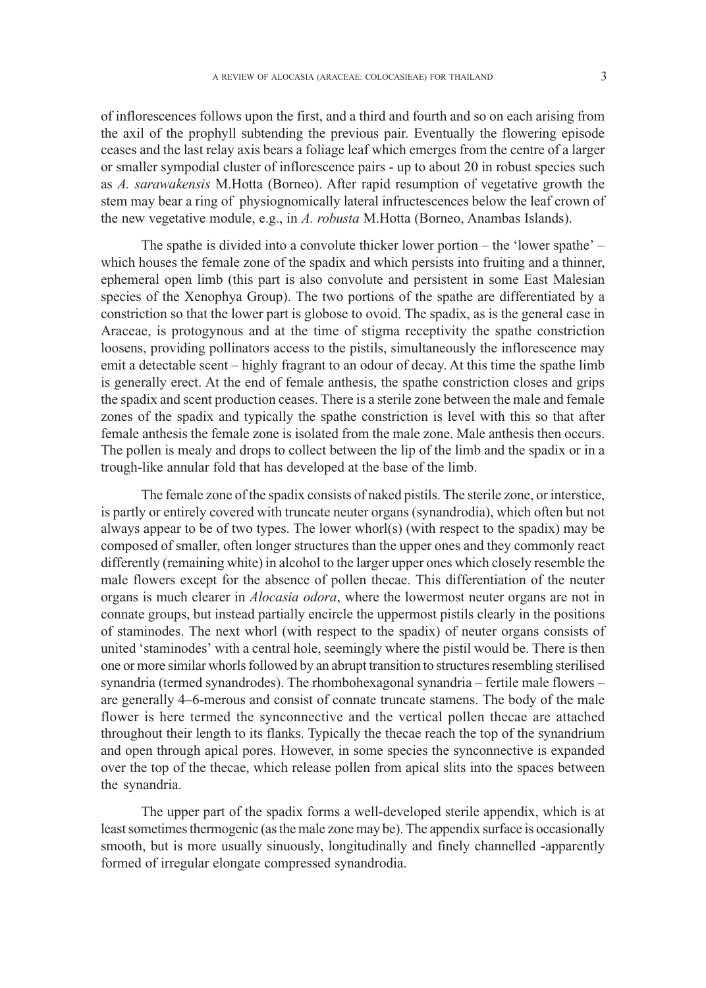of inflorescences follows upon the first, and a third and fourth and so on each arising from the axil of the prophyll subtending the previous pair. Eventually the flowering episode ceases and the last relay axis bears a foliage leaf which emerges from the centre of a larger or smaller sympodial cluster of inflorescence pairs - up to about 20 in robust species such as *A. sarawakensis* M.Hotta (Borneo). After rapid resumption of vegetative growth the stem may bear a ring of physiognomically lateral infructescences below the leaf crown of the new vegetative module, e.g., in *A. robusta* M.Hotta (Borneo, Anambas Islands).

The spathe is divided into a convolute thicker lower portion – the 'lower spathe' – which houses the female zone of the spadix and which persists into fruiting and a thinner, ephemeral open limb (this part is also convolute and persistent in some East Malesian species of the Xenophya Group). The two portions of the spathe are differentiated by a constriction so that the lower part is globose to ovoid. The spadix, as is the general case in Araceae, is protogynous and at the time of stigma receptivity the spathe constriction loosens, providing pollinators access to the pistils, simultaneously the inflorescence may emit a detectable scent – highly fragrant to an odour of decay. At this time the spathe limb is generally erect. At the end of female anthesis, the spathe constriction closes and grips the spadix and scent production ceases. There is a sterile zone between the male and female zones of the spadix and typically the spathe constriction is level with this so that after female anthesis the female zone is isolated from the male zone. Male anthesis then occurs. The pollen is mealy and drops to collect between the lip of the limb and the spadix or in a trough-like annular fold that has developed at the base of the limb.

The female zone of the spadix consists of naked pistils. The sterile zone, or interstice, is partly or entirely covered with truncate neuter organs (synandrodia), which often but not always appear to be of two types. The lower whorl(s) (with respect to the spadix) may be composed of smaller, often longer structures than the upper ones and they commonly react differently (remaining white) in alcohol to the larger upper ones which closely resemble the male flowers except for the absence of pollen thecae. This differentiation of the neuter organs is much clearer in *Alocasia odora*, where the lowermost neuter organs are not in connate groups, but instead partially encircle the uppermost pistils clearly in the positions of staminodes. The next whorl (with respect to the spadix) of neuter organs consists of united 'staminodes' with a central hole, seemingly where the pistil would be. There is then one or more similar whorls followed by an abrupt transition to structures resembling sterilised synandria (termed synandrodes). The rhombohexagonal synandria – fertile male flowers – are generally 4–6-merous and consist of connate truncate stamens. The body of the male flower is here termed the synconnective and the vertical pollen thecae are attached throughout their length to its flanks. Typically the thecae reach the top of the synandrium and open through apical pores. However, in some species the synconnective is expanded over the top of the thecae, which release pollen from apical slits into the spaces between the synandria.

The upper part of the spadix forms a well-developed sterile appendix, which is at least sometimes thermogenic (as the male zone may be). The appendix surface is occasionally smooth, but is more usually sinuously, longitudinally and finely channelled -apparently formed of irregular elongate compressed synandrodia.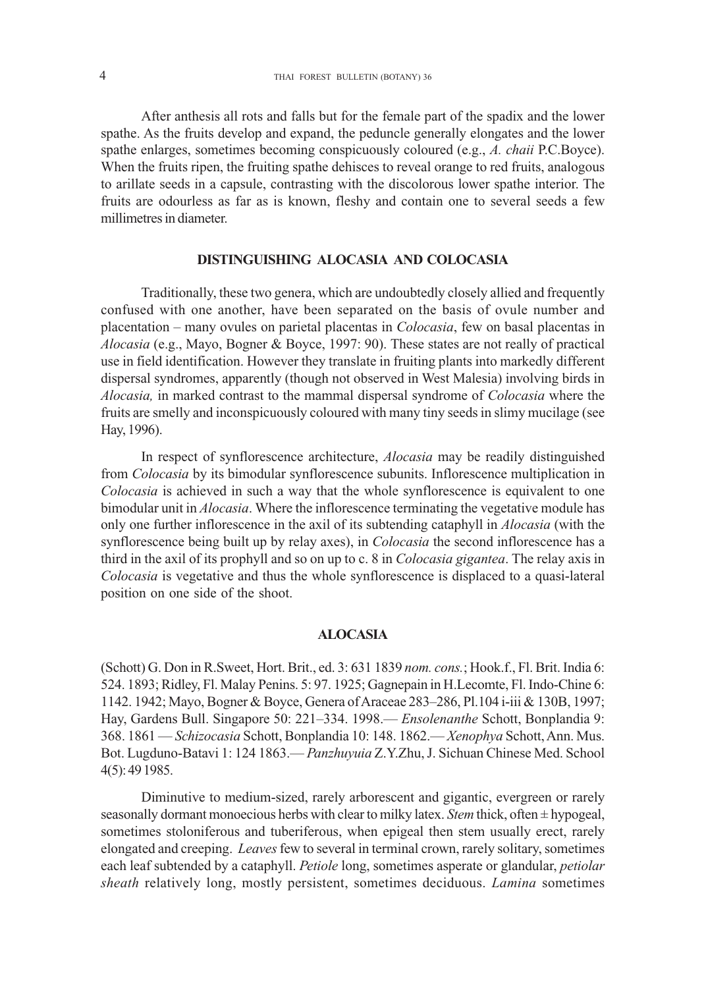After anthesis all rots and falls but for the female part of the spadix and the lower spathe. As the fruits develop and expand, the peduncle generally elongates and the lower spathe enlarges, sometimes becoming conspicuously coloured (e.g., *A. chaii* P.C.Boyce). When the fruits ripen, the fruiting spathe dehisces to reveal orange to red fruits, analogous to arillate seeds in a capsule, contrasting with the discolorous lower spathe interior. The fruits are odourless as far as is known, fleshy and contain one to several seeds a few millimetres in diameter.

# **DISTINGUISHING ALOCASIA AND COLOCASIA**

Traditionally, these two genera, which are undoubtedly closely allied and frequently confused with one another, have been separated on the basis of ovule number and placentation – many ovules on parietal placentas in *Colocasia*, few on basal placentas in *Alocasia* (e.g., Mayo, Bogner & Boyce, 1997: 90). These states are not really of practical use in field identification. However they translate in fruiting plants into markedly different dispersal syndromes, apparently (though not observed in West Malesia) involving birds in *Alocasia,* in marked contrast to the mammal dispersal syndrome of *Colocasia* where the fruits are smelly and inconspicuously coloured with many tiny seeds in slimy mucilage (see Hay, 1996).

In respect of synflorescence architecture, *Alocasia* may be readily distinguished from *Colocasia* by its bimodular synflorescence subunits. Inflorescence multiplication in *Colocasia* is achieved in such a way that the whole synflorescence is equivalent to one bimodular unit in *Alocasia*. Where the inflorescence terminating the vegetative module has only one further inflorescence in the axil of its subtending cataphyll in *Alocasia* (with the synflorescence being built up by relay axes), in *Colocasia* the second inflorescence has a third in the axil of its prophyll and so on up to c. 8 in *Colocasia gigantea*. The relay axis in *Colocasia* is vegetative and thus the whole synflorescence is displaced to a quasi-lateral position on one side of the shoot.

## **ALOCASIA**

(Schott) G. Don in R.Sweet, Hort. Brit., ed. 3: 631 1839 *nom. cons.*; Hook.f., Fl. Brit. India 6: 524. 1893; Ridley, Fl. Malay Penins. 5: 97. 1925; Gagnepain in H.Lecomte, Fl. Indo-Chine 6: 1142. 1942; Mayo, Bogner & Boyce, Genera of Araceae 283–286, Pl.104 i-iii & 130B, 1997; Hay, Gardens Bull. Singapore 50: 221–334. 1998.— *Ensolenanthe* Schott, Bonplandia 9: 368. 1861 — *Schizocasia* Schott, Bonplandia 10: 148. 1862.— *Xenophya* Schott, Ann. Mus. Bot. Lugduno-Batavi 1: 124 1863.— *Panzhuyuia* Z.Y.Zhu, J. Sichuan Chinese Med. School 4(5): 49 1985.

Diminutive to medium-sized, rarely arborescent and gigantic, evergreen or rarely seasonally dormant monoecious herbs with clear to milky latex. *Stem* thick, often ± hypogeal, sometimes stoloniferous and tuberiferous, when epigeal then stem usually erect, rarely elongated and creeping. *Leaves* few to several in terminal crown, rarely solitary, sometimes each leaf subtended by a cataphyll. *Petiole* long, sometimes asperate or glandular, *petiolar sheath* relatively long, mostly persistent, sometimes deciduous. *Lamina* sometimes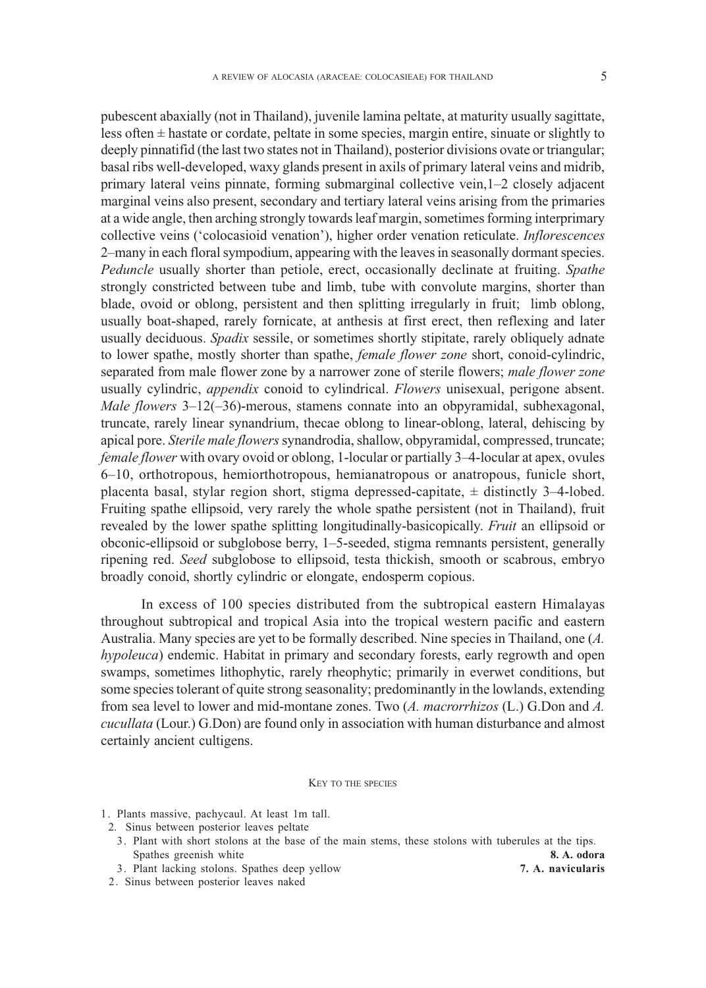pubescent abaxially (not in Thailand), juvenile lamina peltate, at maturity usually sagittate, less often ± hastate or cordate, peltate in some species, margin entire, sinuate or slightly to deeply pinnatifid (the last two states not in Thailand), posterior divisions ovate or triangular; basal ribs well-developed, waxy glands present in axils of primary lateral veins and midrib, primary lateral veins pinnate, forming submarginal collective vein,1–2 closely adjacent marginal veins also present, secondary and tertiary lateral veins arising from the primaries at a wide angle, then arching strongly towards leaf margin, sometimes forming interprimary collective veins ('colocasioid venation'), higher order venation reticulate. *Inflorescences* 2–many in each floral sympodium, appearing with the leaves in seasonally dormant species. *Peduncle* usually shorter than petiole, erect, occasionally declinate at fruiting. *Spathe* strongly constricted between tube and limb, tube with convolute margins, shorter than blade, ovoid or oblong, persistent and then splitting irregularly in fruit; limb oblong, usually boat-shaped, rarely fornicate, at anthesis at first erect, then reflexing and later usually deciduous. *Spadix* sessile, or sometimes shortly stipitate, rarely obliquely adnate to lower spathe, mostly shorter than spathe, *female flower zone* short, conoid-cylindric, separated from male flower zone by a narrower zone of sterile flowers; *male flower zone* usually cylindric, *appendix* conoid to cylindrical. *Flowers* unisexual, perigone absent. *Male flowers* 3–12(–36)-merous, stamens connate into an obpyramidal, subhexagonal, truncate, rarely linear synandrium, thecae oblong to linear-oblong, lateral, dehiscing by apical pore. *Sterile male flowers* synandrodia, shallow, obpyramidal, compressed, truncate; *female flower* with ovary ovoid or oblong, 1-locular or partially 3–4-locular at apex, ovules 6–10, orthotropous, hemiorthotropous, hemianatropous or anatropous, funicle short, placenta basal, stylar region short, stigma depressed-capitate,  $\pm$  distinctly 3–4-lobed. Fruiting spathe ellipsoid, very rarely the whole spathe persistent (not in Thailand), fruit revealed by the lower spathe splitting longitudinally-basicopically. *Fruit* an ellipsoid or obconic-ellipsoid or subglobose berry, 1–5-seeded, stigma remnants persistent, generally ripening red. *Seed* subglobose to ellipsoid, testa thickish, smooth or scabrous, embryo broadly conoid, shortly cylindric or elongate, endosperm copious.

In excess of 100 species distributed from the subtropical eastern Himalayas throughout subtropical and tropical Asia into the tropical western pacific and eastern Australia. Many species are yet to be formally described. Nine species in Thailand, one (*A. hypoleuca*) endemic. Habitat in primary and secondary forests, early regrowth and open swamps, sometimes lithophytic, rarely rheophytic; primarily in everwet conditions, but some species tolerant of quite strong seasonality; predominantly in the lowlands, extending from sea level to lower and mid-montane zones. Two (*A. macrorrhizos* (L.) G.Don and *A. cucullata* (Lour.) G.Don) are found only in association with human disturbance and almost certainly ancient cultigens.

#### KEY TO THE SPECIES

- 1. Plants massive, pachycaul. At least 1m tall.
- 2. Sinus between posterior leaves peltate
- 3. Plant with short stolons at the base of the main stems, these stolons with tuberules at the tips. Spathes greenish white **8. A. odora 8. A. odora**
- 3. Plant lacking stolons. Spathes deep yellow **7. A. navicularis**
- 

2. Sinus between posterior leaves naked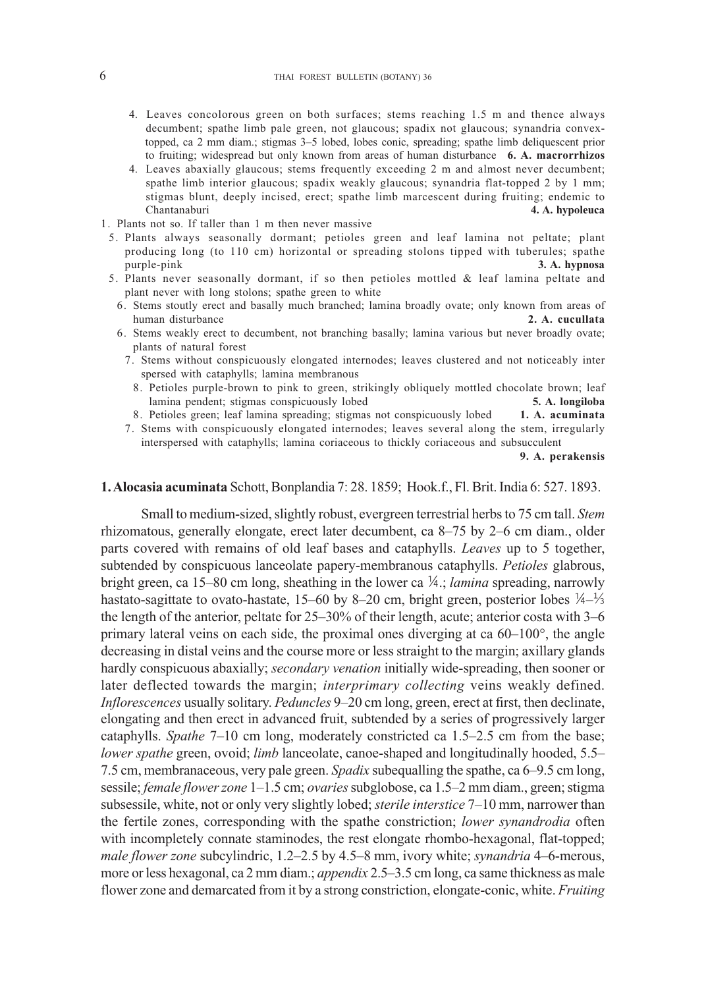- 4. Leaves concolorous green on both surfaces; stems reaching 1.5 m and thence always decumbent; spathe limb pale green, not glaucous; spadix not glaucous; synandria convex topped, ca 2 mm diam.; stigmas 3–5 lobed, lobes conic, spreading; spathe limb deliquescent prior to fruiting; widespread but only known from areas of human disturbance **6. A. macrorrhizos**
- 4. Leaves abaxially glaucous; stems frequently exceeding 2 m and almost never decumbent; spathe limb interior glaucous; spadix weakly glaucous; synandria flat-topped 2 by 1 mm; stigmas blunt, deeply incised, erect; spathe limb marcescent during fruiting; endemic to Chantanaburi **4. A. hypoleuca**
- 1. Plants not so. If taller than 1 m then never massive
- 5. Plants always seasonally dormant; petioles green and leaf lamina not peltate; plant producing long (to 110 cm) horizontal or spreading stolons tipped with tuberules; spathe purple-pink **3. A. hypnosa**
- 5. Plants never seasonally dormant, if so then petioles mottled & leaf lamina peltate and plant never with long stolons; spathe green to white
	- 6. Stems stoutly erect and basally much branched; lamina broadly ovate; only known from areas of human disturbance
	- 6. Stems weakly erect to decumbent, not branching basally; lamina various but never broadly ovate; plants of natural forest
		- 7. Stems without conspicuously elongated internodes; leaves clustered and not noticeably inter spersed with cataphylls; lamina membranous
			- 8. Petioles purple-brown to pink to green, strikingly obliquely mottled chocolate brown; leaf lamina pendent; stigmas conspicuously lobed **5. A. longiloba**
		- 8. Petioles green; leaf lamina spreading; stigmas not conspicuously lobed **1. A. acuminata**
		- 7. Stems with conspicuously elongated internodes; leaves several along the stem, irregularly interspersed with cataphylls; lamina coriaceous to thickly coriaceous and subsucculent

**9. A. perakensis**

## **1. Alocasia acuminata** Schott, Bonplandia 7: 28. 1859; Hook.f., Fl. Brit. India 6: 527. 1893.

Small to medium-sized, slightly robust, evergreen terrestrial herbs to 75 cm tall. *Stem* rhizomatous, generally elongate, erect later decumbent, ca 8–75 by 2–6 cm diam., older parts covered with remains of old leaf bases and cataphylls. *Leaves* up to 5 together, subtended by conspicuous lanceolate papery-membranous cataphylls. *Petioles* glabrous, bright green, ca 15–80 cm long, sheathing in the lower ca  $\frac{1}{4}$ ; *lamina* spreading, narrowly hastato-sagittate to ovato-hastate, 15–60 by 8–20 cm, bright green, posterior lobes  $\frac{1}{4}$ – $\frac{1}{3}$ the length of the anterior, peltate for 25–30% of their length, acute; anterior costa with 3–6 primary lateral veins on each side, the proximal ones diverging at ca 60–100°, the angle decreasing in distal veins and the course more or less straight to the margin; axillary glands hardly conspicuous abaxially; *secondary venation* initially wide-spreading, then sooner or later deflected towards the margin; *interprimary collecting* veins weakly defined. *Inflorescences* usually solitary. *Peduncles* 9–20 cm long, green, erect at first, then declinate, elongating and then erect in advanced fruit, subtended by a series of progressively larger cataphylls. *Spathe* 7–10 cm long, moderately constricted ca 1.5–2.5 cm from the base; *lower spathe green, ovoid; <i>limb* lanceolate, canoe-shaped and longitudinally hooded, 5.5– 7.5 cm, membranaceous, very pale green. *Spadix* subequalling the spathe, ca 6–9.5 cm long, sessile; *female flower zone* 1–1.5 cm; *ovaries* subglobose, ca 1.5–2 mm diam., green; stigma subsessile, white, not or only very slightly lobed; *sterile interstice* 7–10 mm, narrower than the fertile zones, corresponding with the spathe constriction; *lower synandrodia* often with incompletely connate staminodes, the rest elongate rhombo-hexagonal, flat-topped; *male flower zone* subcylindric, 1.2–2.5 by 4.5–8 mm, ivory white; *synandria* 4–6-merous, more or less hexagonal, ca 2 mm diam.; *appendix* 2.5–3.5 cm long, ca same thickness as male flower zone and demarcated from it by a strong constriction, elongate-conic, white. *Fruiting*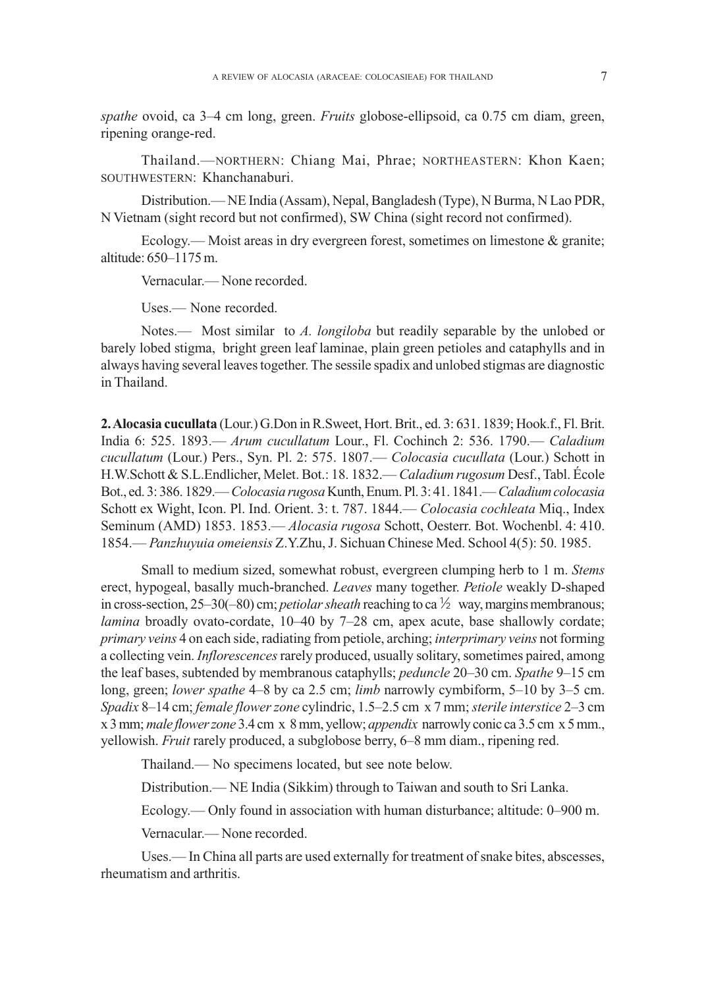*spathe* ovoid, ca 3–4 cm long, green. *Fruits* globose-ellipsoid, ca 0.75 cm diam, green, ripening orange-red.

Thailand.—NORTHERN: Chiang Mai, Phrae; NORTHEASTERN: Khon Kaen; SOUTHWESTERN: Khanchanaburi.

Distribution.— NE India (Assam), Nepal, Bangladesh (Type), N Burma, N Lao PDR, N Vietnam (sight record but not confirmed), SW China (sight record not confirmed).

Ecology.— Moist areas in dry evergreen forest, sometimes on limestone  $\&$  granite; altitude: 650–1175 m.

Vernacular.— None recorded.

Uses.— None recorded.

Notes.— Most similar to *A. longiloba* but readily separable by the unlobed or barely lobed stigma, bright green leaf laminae, plain green petioles and cataphylls and in always having several leaves together. The sessile spadix and unlobed stigmas are diagnostic in Thailand.

**2. Alocasia cucullata** (Lour.) G.Don in R.Sweet, Hort. Brit., ed. 3: 631. 1839; Hook.f., Fl. Brit. India 6: 525. 1893.— *Arum cucullatum* Lour., Fl. Cochinch 2: 536. 1790.— *Caladium cucullatum* (Lour.) Pers., Syn. Pl. 2: 575. 1807.— *Colocasia cucullata* (Lour.) Schott in H.W.Schott & S.L.Endlicher, Melet. Bot.: 18. 1832.— *Caladium rugosum* Desf., Tabl. École Bot., ed. 3: 386. 1829.— *Colocasia rugosa* Kunth, Enum. Pl. 3: 41. 1841.— *Caladium colocasia* Schott ex Wight, Icon. Pl. Ind. Orient. 3: t. 787. 1844.— *Colocasia cochleata* Miq., Index Seminum (AMD) 1853. 1853.— *Alocasia rugosa* Schott, Oesterr. Bot. Wochenbl. 4: 410. 1854.— *Panzhuyuia omeiensis* Z.Y.Zhu, J. Sichuan Chinese Med. School 4(5): 50. 1985.

Small to medium sized, somewhat robust, evergreen clumping herb to 1 m. *Stems* erect, hypogeal, basally much-branched. *Leaves* many together. *Petiole* weakly D-shaped in cross-section,  $25-30(-80)$  cm; *petiolar sheath* reaching to ca  $\frac{1}{2}$  way, margins membranous; *lamina* broadly ovato-cordate, 10–40 by 7–28 cm, apex acute, base shallowly cordate; *primary veins* 4 on each side, radiating from petiole, arching; *interprimary veins* not forming a collecting vein. *Inflorescences* rarely produced, usually solitary, sometimes paired, among the leaf bases, subtended by membranous cataphylls; *peduncle* 20–30 cm. *Spathe* 9–15 cm long, green; *lower spathe* 4–8 by ca 2.5 cm; *limb* narrowly cymbiform, 5–10 by 3–5 cm. *Spadix* 8–14 cm; *female flower zone* cylindric, 1.5–2.5 cm x 7 mm; *sterile interstice* 2–3 cm x 3 mm; *male flower zone* 3.4 cm x 8 mm, yellow; *appendix* narrowly conic ca 3.5 cm x 5 mm., yellowish. *Fruit* rarely produced, a subglobose berry, 6–8 mm diam., ripening red.

Thailand.— No specimens located, but see note below.

Distribution.— NE India (Sikkim) through to Taiwan and south to Sri Lanka.

Ecology.— Only found in association with human disturbance; altitude: 0–900 m.

Vernacular.— None recorded.

Uses.— In China all parts are used externally for treatment of snake bites, abscesses, rheumatism and arthritis.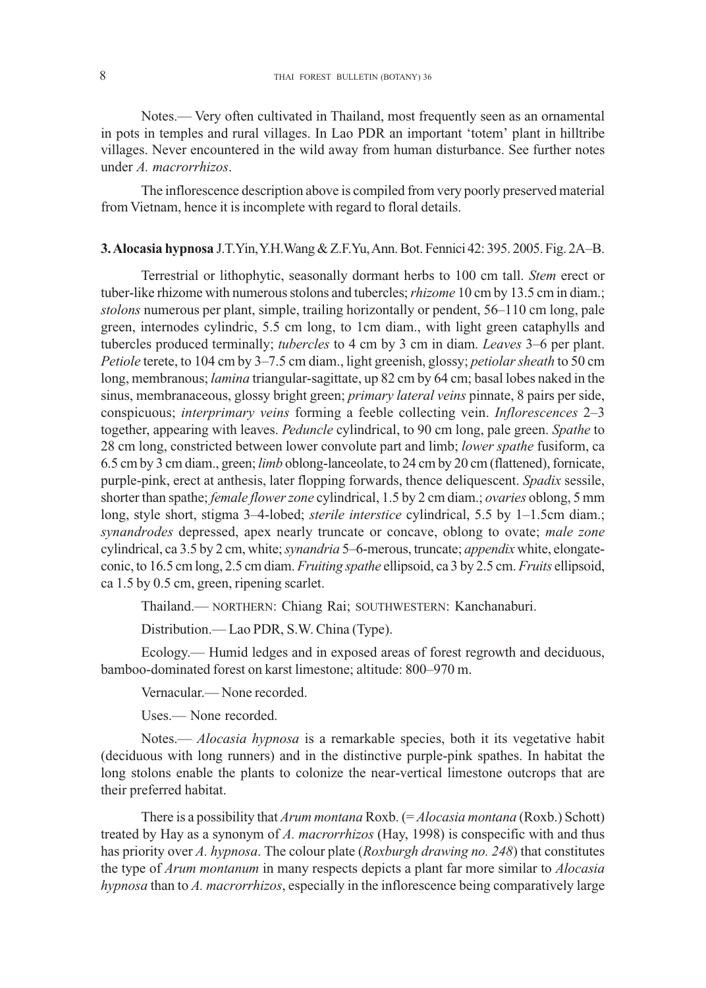Notes.— Very often cultivated in Thailand, most frequently seen as an ornamental in pots in temples and rural villages. In Lao PDR an important 'totem' plant in hilltribe villages. Never encountered in the wild away from human disturbance. See further notes under *A. macrorrhizos*.

The inflorescence description above is compiled from very poorly preserved material from Vietnam, hence it is incomplete with regard to floral details.

# **3. Alocasia hypnosa** J.T.Yin, Y.H.Wang & Z.F.Yu, Ann. Bot. Fennici 42: 395. 2005. Fig. 2A–B.

Terrestrial or lithophytic, seasonally dormant herbs to 100 cm tall. *Stem* erect or tuber-like rhizome with numerous stolons and tubercles; *rhizome* 10 cm by 13.5 cm in diam.; *stolons* numerous per plant, simple, trailing horizontally or pendent, 56–110 cm long, pale green, internodes cylindric, 5.5 cm long, to 1cm diam., with light green cataphylls and tubercles produced terminally; *tubercles* to 4 cm by 3 cm in diam. *Leaves* 3–6 per plant. *Petiole* terete, to 104 cm by 3–7.5 cm diam., light greenish, glossy; *petiolar sheath* to 50 cm long, membranous; *lamina* triangular-sagittate, up 82 cm by 64 cm; basal lobes naked in the sinus, membranaceous, glossy bright green; *primary lateral veins* pinnate, 8 pairs per side, conspicuous; *interprimary veins* forming a feeble collecting vein. *Inflorescences* 2–3 together, appearing with leaves. *Peduncle* cylindrical, to 90 cm long, pale green. *Spathe* to 28 cm long, constricted between lower convolute part and limb; *lower spathe* fusiform, ca 6.5 cm by 3 cm diam., green; *limb* oblong-lanceolate, to 24 cm by 20 cm (flattened), fornicate, purple-pink, erect at anthesis, later flopping forwards, thence deliquescent. *Spadix* sessile, shorter than spathe; *female flower zone* cylindrical, 1.5 by 2 cm diam.; *ovaries* oblong, 5 mm long, style short, stigma 3–4-lobed; *sterile interstice* cylindrical, 5.5 by 1–1.5cm diam.; *synandrodes* depressed, apex nearly truncate or concave, oblong to ovate; *male zone* cylindrical, ca 3.5 by 2 cm, white; *synandria* 5–6-merous, truncate; *appendix* white, elongateconic, to 16.5 cm long, 2.5 cm diam. *Fruiting spathe* ellipsoid, ca 3 by 2.5 cm. *Fruits* ellipsoid, ca 1.5 by 0.5 cm, green, ripening scarlet.

Thailand.— NORTHERN: Chiang Rai; SOUTHWESTERN: Kanchanaburi.

Distribution.— Lao PDR, S.W. China (Type).

Ecology.— Humid ledges and in exposed areas of forest regrowth and deciduous, bamboo-dominated forest on karst limestone; altitude: 800–970 m.

Vernacular.— None recorded.

Uses.— None recorded.

Notes.— *Alocasia hypnosa* is a remarkable species, both it its vegetative habit (deciduous with long runners) and in the distinctive purple-pink spathes. In habitat the long stolons enable the plants to colonize the near-vertical limestone outcrops that are their preferred habitat.

There is a possibility that *Arum montana* Roxb. (= *Alocasia montana* (Roxb.) Schott) treated by Hay as a synonym of *A. macrorrhizos* (Hay, 1998) is conspecific with and thus has priority over *A. hypnosa*. The colour plate (*Roxburgh drawing no. 248*) that constitutes the type of *Arum montanum* in many respects depicts a plant far more similar to *Alocasia hypnosa* than to *A. macrorrhizos*, especially in the inflorescence being comparatively large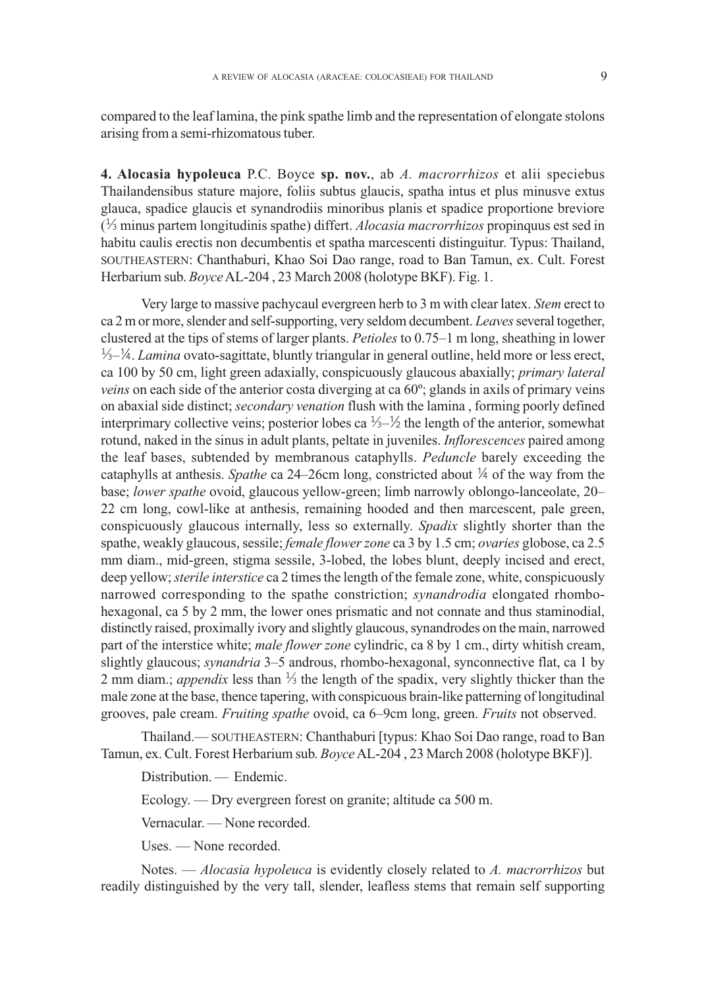compared to the leaf lamina, the pink spathe limb and the representation of elongate stolons arising from a semi-rhizomatous tuber.

**4. Alocasia hypoleuca** P.C. Boyce **sp. nov.**, ab *A. macrorrhizos* et alii speciebus Thailandensibus stature majore, foliis subtus glaucis, spatha intus et plus minusve extus glauca, spadice glaucis et synandrodiis minoribus planis et spadice proportione breviore ( minus partem longitudinis spathe) differt. *Alocasia macrorrhizos* propinquus est sed in habitu caulis erectis non decumbentis et spatha marcescenti distinguitur. Typus: Thailand, SOUTHEASTERN: Chanthaburi, Khao Soi Dao range, road to Ban Tamun, ex. Cult. Forest Herbarium sub. *Boyce* AL-204 , 23 March 2008 (holotype BKF). Fig. 1.

Very large to massive pachycaul evergreen herb to 3 m with clear latex. *Stem* erect to ca 2 m or more, slender and self-supporting, very seldom decumbent. *Leaves* several together, clustered at the tips of stems of larger plants. *Petioles* to 0.75–1 m long, sheathing in lower  $\frac{1}{2} - \frac{1}{2}$ . *Lamina* ovato-sagittate, bluntly triangular in general outline, held more or less erect, ca 100 by 50 cm, light green adaxially, conspicuously glaucous abaxially; *primary lateral veins* on each side of the anterior costa diverging at ca 60º; glands in axils of primary veins on abaxial side distinct; *secondary venation* flush with the lamina , forming poorly defined interprimary collective veins; posterior lobes ca  $\frac{1}{2}$  the length of the anterior, somewhat rotund, naked in the sinus in adult plants, peltate in juveniles. *Inflorescences* paired among the leaf bases, subtended by membranous cataphylls. *Peduncle* barely exceeding the cataphylls at anthesis. *Spathe* ca 24–26cm long, constricted about  $\frac{1}{4}$  of the way from the base; *lower spathe* ovoid, glaucous yellow-green; limb narrowly oblongo-lanceolate, 20– 22 cm long, cowl-like at anthesis, remaining hooded and then marcescent, pale green, conspicuously glaucous internally, less so externally. *Spadix* slightly shorter than the spathe, weakly glaucous, sessile; *female flower zone* ca 3 by 1.5 cm; *ovaries* globose, ca 2.5 mm diam., mid-green, stigma sessile, 3-lobed, the lobes blunt, deeply incised and erect, deep yellow; *sterile interstice* ca 2 times the length of the female zone, white, conspicuously narrowed corresponding to the spathe constriction; *synandrodia* elongated rhombohexagonal, ca 5 by 2 mm, the lower ones prismatic and not connate and thus staminodial, distinctly raised, proximally ivory and slightly glaucous, synandrodes on the main, narrowed part of the interstice white; *male flower zone* cylindric, ca 8 by 1 cm., dirty whitish cream, slightly glaucous; *synandria* 3–5 androus, rhombo-hexagonal, synconnective flat, ca 1 by 2 mm diam.; *appendix* less than  $\frac{1}{3}$  the length of the spadix, very slightly thicker than the male zone at the base, thence tapering, with conspicuous brain-like patterning of longitudinal grooves, pale cream. *Fruiting spathe* ovoid, ca 6–9cm long, green. *Fruits* not observed.

Thailand.— SOUTHEASTERN: Chanthaburi [typus: Khao Soi Dao range, road to Ban Tamun, ex. Cult. Forest Herbarium sub. *Boyce* AL-204 , 23 March 2008 (holotype BKF)].

Distribution. — Endemic.

Ecology. — Dry evergreen forest on granite; altitude ca 500 m.

Vernacular. — None recorded.

Uses. — None recorded.

Notes. — *Alocasia hypoleuca* is evidently closely related to *A. macrorrhizos* but readily distinguished by the very tall, slender, leafless stems that remain self supporting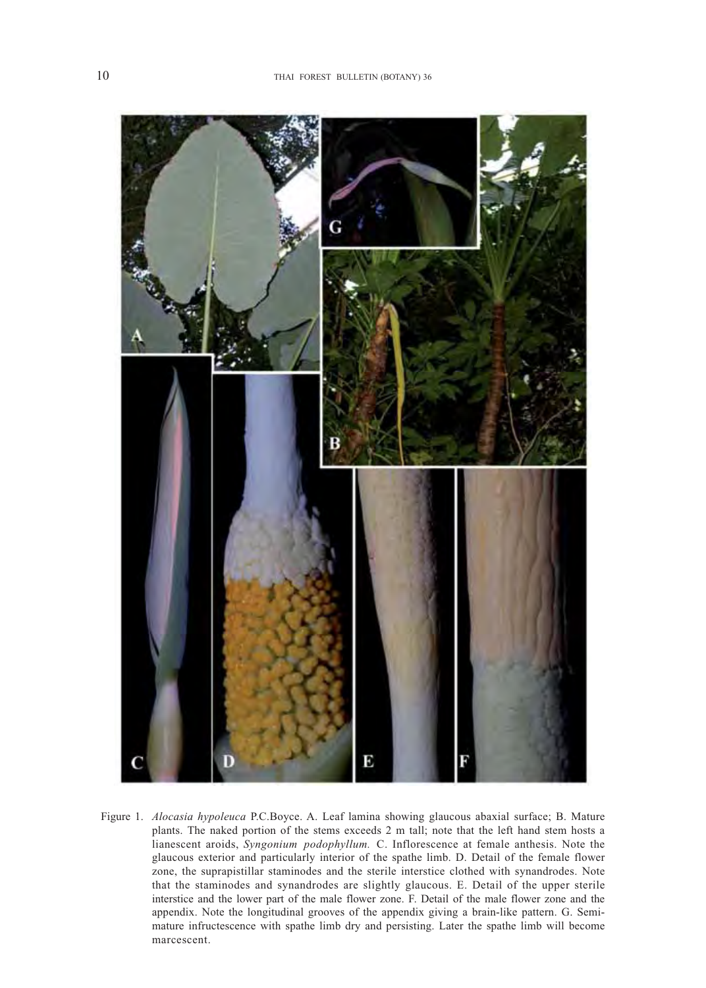

Figure 1. *Alocasia hypoleuca* P.C.Boyce. A. Leaf lamina showing glaucous abaxial surface; B. Mature plants. The naked portion of the stems exceeds 2 m tall; note that the left hand stem hosts a lianescent aroids, *Syngonium podophyllum.* C. Inflorescence at female anthesis. Note the glaucous exterior and particularly interior of the spathe limb. D. Detail of the female flower zone, the suprapistillar staminodes and the sterile interstice clothed with synandrodes. Note that the staminodes and synandrodes are slightly glaucous. E. Detail of the upper sterile interstice and the lower part of the male flower zone. F. Detail of the male flower zone and the appendix. Note the longitudinal grooves of the appendix giving a brain-like pattern. G. Semimature infructescence with spathe limb dry and persisting. Later the spathe limb will become marcescent.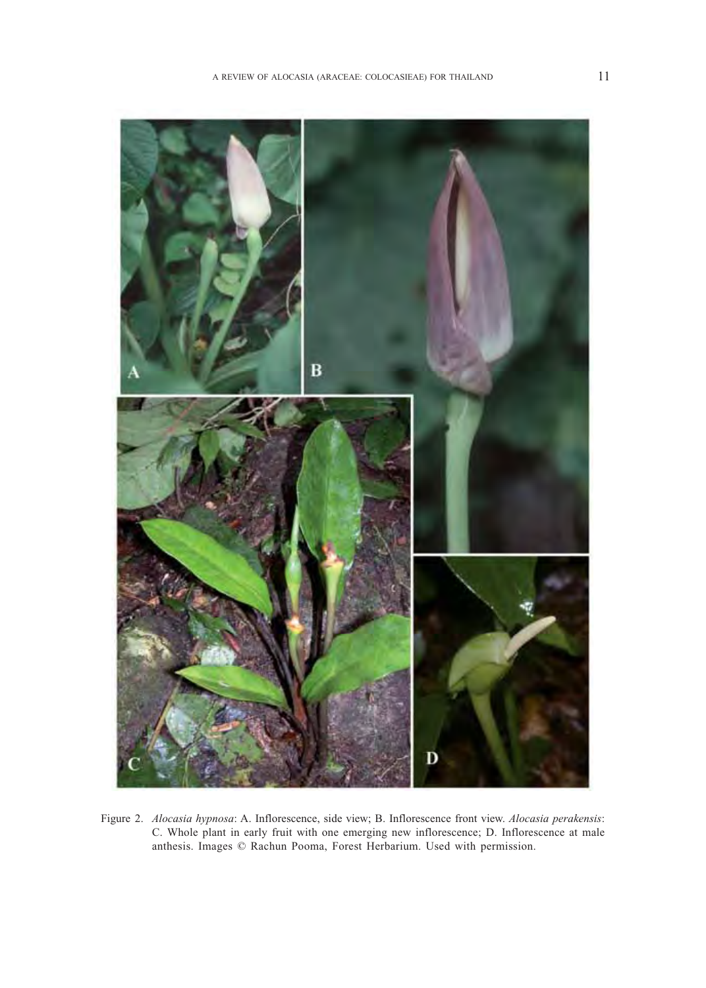

Figure 2. *Alocasia hypnosa*: A. Inflorescence, side view; B. Inflorescence front view. *Alocasia perakensis*: C. Whole plant in early fruit with one emerging new inflorescence; D. Inflorescence at male anthesis. Images © Rachun Pooma, Forest Herbarium. Used with permission.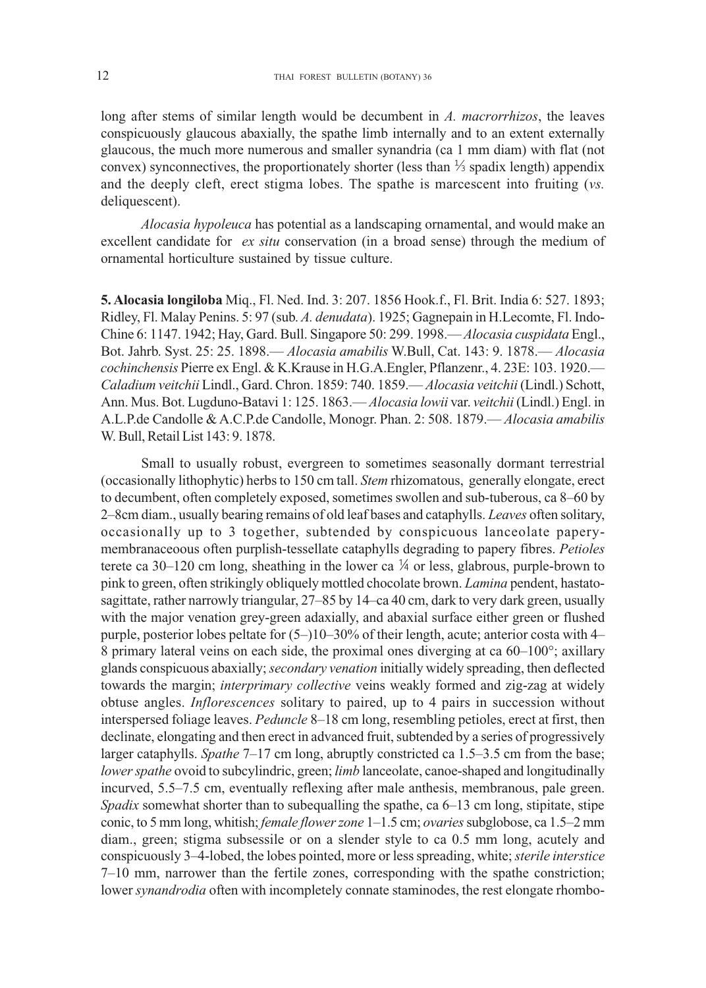long after stems of similar length would be decumbent in *A. macrorrhizos*, the leaves conspicuously glaucous abaxially, the spathe limb internally and to an extent externally glaucous, the much more numerous and smaller synandria (ca 1 mm diam) with flat (not convex) synconnectives, the proportionately shorter (less than  $\frac{1}{2}$  spadix length) appendix and the deeply cleft, erect stigma lobes. The spathe is marcescent into fruiting (*vs.* deliquescent).

*Alocasia hypoleuca* has potential as a landscaping ornamental, and would make an excellent candidate for *ex situ* conservation (in a broad sense) through the medium of ornamental horticulture sustained by tissue culture.

**5. Alocasia longiloba** Miq., Fl. Ned. Ind. 3: 207. 1856 Hook.f., Fl. Brit. India 6: 527. 1893; Ridley, Fl. Malay Penins. 5: 97 (sub. *A. denudata*). 1925; Gagnepain in H.Lecomte, Fl. Indo-Chine 6: 1147. 1942; Hay, Gard. Bull. Singapore 50: 299. 1998.— *Alocasia cuspidata* Engl., Bot. Jahrb. Syst. 25: 25. 1898.— *Alocasia amabilis* W.Bull, Cat. 143: 9. 1878.— *Alocasia Caladium veitchii* Lindl., Gard. Chron. 1859: 740. 1859.— *Alocasia veitchii* (Lindl.) Schott, Ann. Mus. Bot. Lugduno-Batavi 1: 125. 1863.— *Alocasia lowii* var. *veitchii* (Lindl.) Engl. in A.L.P.de Candolle & A.C.P.de Candolle, Monogr. Phan. 2: 508. 1879.— *Alocasia amabilis* W. Bull, Retail List 143: 9. 1878. *cochinchensis* Pierre ex Engl. & K.Krause in H.G.A.Engler, Pflanzenr., 4. 23E: 103. 1920.—

Small to usually robust, evergreen to sometimes seasonally dormant terrestrial (occasionally lithophytic) herbs to 150 cm tall. *Stem* rhizomatous, generally elongate, erect to decumbent, often completely exposed, sometimes swollen and sub-tuberous, ca 8–60 by 2–8cm diam., usually bearing remains of old leaf bases and cataphylls. *Leaves* often solitary, occasionally up to 3 together, subtended by conspicuous lanceolate paperymembranaceoous often purplish-tessellate cataphylls degrading to papery fibres. *Petioles* terete ca 30–120 cm long, sheathing in the lower ca  $\frac{1}{4}$  or less, glabrous, purple-brown to pink to green, often strikingly obliquely mottled chocolate brown. *Lamina* pendent, hastatosagittate, rather narrowly triangular, 27–85 by 14–ca 40 cm, dark to very dark green, usually with the major venation grey-green adaxially, and abaxial surface either green or flushed purple, posterior lobes peltate for (5–)10–30% of their length, acute; anterior costa with 4– 8 primary lateral veins on each side, the proximal ones diverging at ca 60–100°; axillary glands conspicuous abaxially; *secondary venation* initially widely spreading, then deflected towards the margin; *interprimary collective* veins weakly formed and zig-zag at widely obtuse angles. *Inflorescences* solitary to paired, up to 4 pairs in succession without interspersed foliage leaves. *Peduncle* 8–18 cm long, resembling petioles, erect at first, then declinate, elongating and then erect in advanced fruit, subtended by a series of progressively larger cataphylls. *Spathe* 7–17 cm long, abruptly constricted ca 1.5–3.5 cm from the base; *lower spathe* ovoid to subcylindric, green; *limb* lanceolate, canoe-shaped and longitudinally incurved, 5.5–7.5 cm, eventually reflexing after male anthesis, membranous, pale green. *Spadix* somewhat shorter than to subequalling the spathe, ca 6–13 cm long, stipitate, stipe conic, to 5 mm long, whitish; *female flower zone* 1–1.5 cm; *ovaries* subglobose, ca 1.5–2 mm diam., green; stigma subsessile or on a slender style to ca 0.5 mm long, acutely and conspicuously 3–4-lobed, the lobes pointed, more or less spreading, white; *sterile interstice* 7–10 mm, narrower than the fertile zones, corresponding with the spathe constriction; lower *synandrodia* often with incompletely connate staminodes, the rest elongate rhombo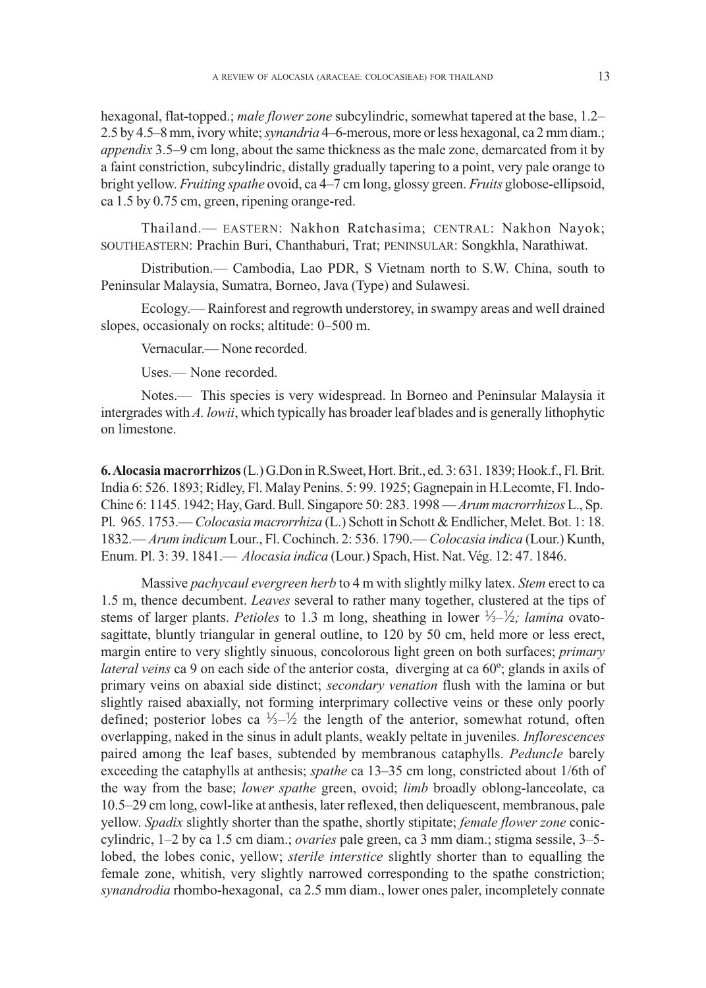hexagonal, flat-topped.; *male flower zone* subcylindric, somewhat tapered at the base, 1.2– 2.5 by 4.5–8 mm, ivory white; *synandria* 4–6-merous, more or less hexagonal, ca 2 mm diam.; *appendix* 3.5–9 cm long, about the same thickness as the male zone, demarcated from it by a faint constriction, subcylindric, distally gradually tapering to a point, very pale orange to bright yellow. *Fruiting spathe* ovoid, ca 4–7 cm long, glossy green. *Fruits* globose-ellipsoid, ca 1.5 by 0.75 cm, green, ripening orange-red.

Thailand.— EASTERN: Nakhon Ratchasima; CENTRAL: Nakhon Nayok; SOUTHEASTERN: Prachin Buri, Chanthaburi, Trat; PENINSULAR: Songkhla, Narathiwat.

Distribution.— Cambodia, Lao PDR, S Vietnam north to S.W. China, south to Peninsular Malaysia, Sumatra, Borneo, Java (Type) and Sulawesi.

Ecology.— Rainforest and regrowth understorey, in swampy areas and well drained slopes, occasionaly on rocks; altitude: 0–500 m.

Vernacular.— None recorded.

Uses.— None recorded.

Notes.— This species is very widespread. In Borneo and Peninsular Malaysia it intergrades with *A. lowii*, which typically has broader leaf blades and is generally lithophytic on limestone.

**6. Alocasia macrorrhizos** (L.) G.Don in R.Sweet, Hort. Brit., ed. 3: 631. 1839; Hook.f., Fl. Brit. India 6: 526. 1893; Ridley, Fl. Malay Penins. 5: 99. 1925; Gagnepain in H.Lecomte, Fl. Indo-Chine 6: 1145. 1942; Hay, Gard. Bull. Singapore 50: 283. 1998 — *Arum macrorrhizos* L., Sp. Pl. 965. 1753.— *Colocasia macrorrhiza* (L.) Schott in Schott & Endlicher, Melet. Bot. 1: 18. 1832.— *Arum indicum* Lour., Fl. Cochinch. 2: 536. 1790.— *Colocasia indica* (Lour.) Kunth, Enum. Pl. 3: 39. 1841.— Alocasia indica (Lour.) Spach, Hist. Nat. Vég. 12: 47. 1846.

Massive *pachycaul evergreen herb* to 4 m with slightly milky latex. *Stem* erect to ca 1.5 m, thence decumbent. *Leaves* several to rather many together, clustered at the tips of stems of larger plants. *Petioles* to 1.3 m long, sheathing in lower  $\frac{1}{2}$ - $\frac{1}{2}$ ; *lamina* ovatosagittate, bluntly triangular in general outline, to 120 by 50 cm, held more or less erect, margin entire to very slightly sinuous, concolorous light green on both surfaces; *primary lateral veins* ca 9 on each side of the anterior costa, diverging at ca 60º; glands in axils of primary veins on abaxial side distinct; *secondary venation* flush with the lamina or but slightly raised abaxially, not forming interprimary collective veins or these only poorly defined; posterior lobes ca  $\frac{1}{2}$  the length of the anterior, somewhat rotund, often overlapping, naked in the sinus in adult plants, weakly peltate in juveniles. *Inflorescences* paired among the leaf bases, subtended by membranous cataphylls. *Peduncle* barely exceeding the cataphylls at anthesis; *spathe* ca 13–35 cm long, constricted about 1/6th of the way from the base; *lower spathe* green, ovoid; *limb* broadly oblong-lanceolate, ca 10.5–29 cm long, cowl-like at anthesis, later reflexed, then deliquescent, membranous, pale yellow. *Spadix* slightly shorter than the spathe, shortly stipitate; *female flower zone* coniccylindric, 1–2 by ca 1.5 cm diam.; *ovaries* pale green, ca 3 mm diam.; stigma sessile, 3–5 lobed, the lobes conic, yellow; *sterile interstice* slightly shorter than to equalling the female zone, whitish, very slightly narrowed corresponding to the spathe constriction; *synandrodia* rhombo-hexagonal, ca 2.5 mm diam., lower ones paler, incompletely connate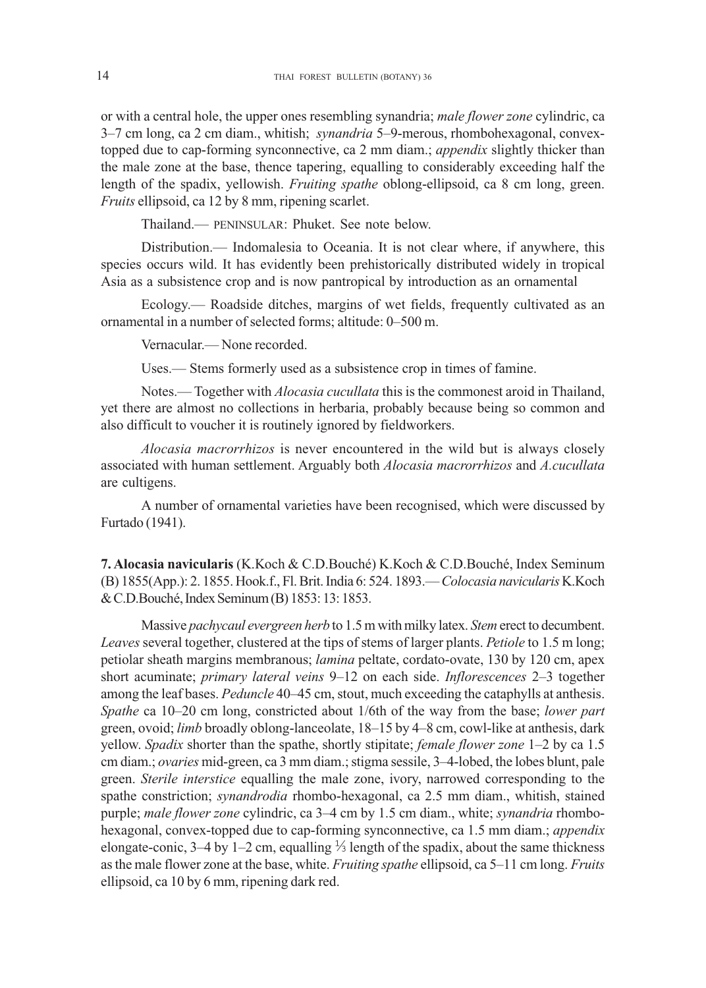or with a central hole, the upper ones resembling synandria; *male flower zone* cylindric, ca 3–7 cm long, ca 2 cm diam., whitish; *synandria* 5–9-merous, rhombohexagonal, convextopped due to cap-forming synconnective, ca 2 mm diam.; *appendix* slightly thicker than the male zone at the base, thence tapering, equalling to considerably exceeding half the length of the spadix, yellowish. *Fruiting spathe* oblong-ellipsoid, ca 8 cm long, green. *Fruits* ellipsoid, ca 12 by 8 mm, ripening scarlet.

Thailand.— PENINSULAR: Phuket. See note below.

Distribution.— Indomalesia to Oceania. It is not clear where, if anywhere, this species occurs wild. It has evidently been prehistorically distributed widely in tropical Asia as a subsistence crop and is now pantropical by introduction as an ornamental

Ecology.— Roadside ditches, margins of wet fields, frequently cultivated as an ornamental in a number of selected forms; altitude: 0–500 m.

Vernacular.— None recorded.

Uses.— Stems formerly used as a subsistence crop in times of famine.

Notes.— Together with *Alocasia cucullata* this is the commonest aroid in Thailand, yet there are almost no collections in herbaria, probably because being so common and also difficult to voucher it is routinely ignored by fieldworkers.

*Alocasia macrorrhizos* is never encountered in the wild but is always closely associated with human settlement. Arguably both *Alocasia macrorrhizos* and *A.cucullata* are cultigens.

A number of ornamental varieties have been recognised, which were discussed by Furtado (1941).

**7. Alocasia navicularis** (K.Koch & C.D.Bouché) K.Koch & C.D.Bouché, Index Seminum (B) 1855(App.): 2. 1855. Hook.f., Fl. Brit. India 6: 524. 1893.— *Colocasia navicularis* K.Koch & C.D.Bouche, Index Seminum (B) 1853: 13: 1853. ´

Massive *pachycaul evergreen herb* to 1.5 m with milky latex. *Stem* erect to decumbent. *Leaves* several together, clustered at the tips of stems of larger plants. *Petiole* to 1.5 m long; petiolar sheath margins membranous; *lamina* peltate, cordato-ovate, 130 by 120 cm, apex short acuminate; *primary lateral veins* 9–12 on each side. *Inflorescences* 2–3 together among the leaf bases. *Peduncle* 40–45 cm, stout, much exceeding the cataphylls at anthesis. *Spathe* ca 10–20 cm long, constricted about 1/6th of the way from the base; *lower part* green, ovoid; *limb* broadly oblong-lanceolate, 18–15 by 4–8 cm, cowl-like at anthesis, dark yellow. *Spadix* shorter than the spathe, shortly stipitate; *female flower zone* 1–2 by ca 1.5 cm diam.; *ovaries* mid-green, ca 3 mm diam.; stigma sessile, 3–4-lobed, the lobes blunt, pale green. *Sterile interstice* equalling the male zone, ivory, narrowed corresponding to the spathe constriction; *synandrodia* rhombo-hexagonal, ca 2.5 mm diam., whitish, stained purple; *male flower zone* cylindric, ca 3–4 cm by 1.5 cm diam., white; *synandria* rhombohexagonal, convex-topped due to cap-forming synconnective, ca 1.5 mm diam.; *appendix* elongate-conic, 3–4 by 1–2 cm, equalling  $\frac{1}{3}$  length of the spadix, about the same thickness as the male flower zone at the base, white. *Fruiting spathe* ellipsoid, ca 5–11 cm long. *Fruits* ellipsoid, ca 10 by 6 mm, ripening dark red.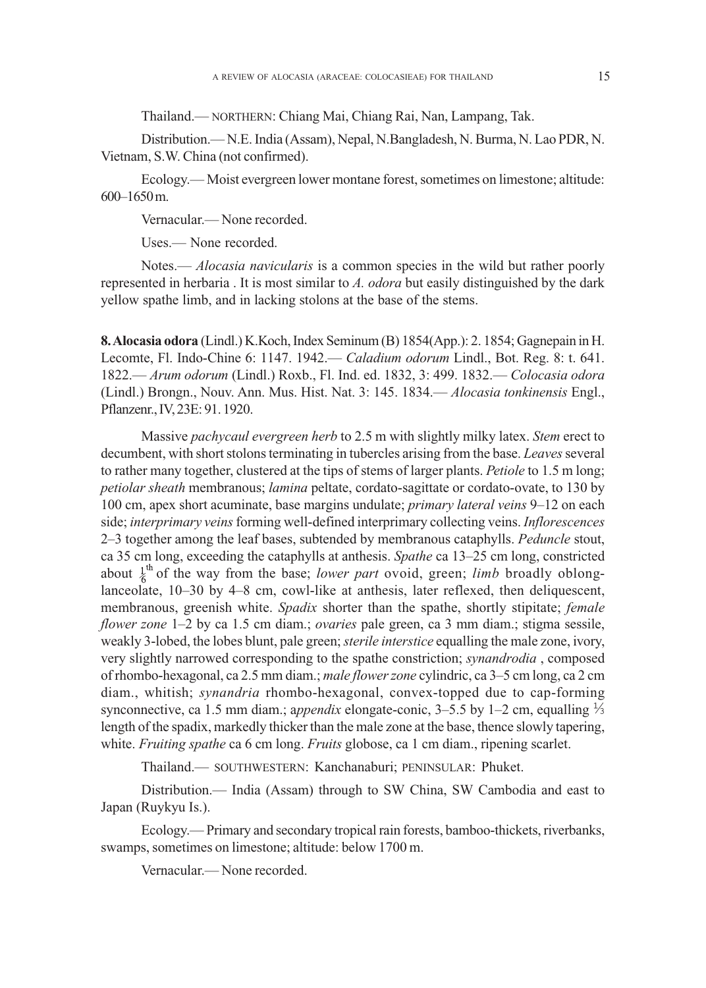Thailand.— NORTHERN: Chiang Mai, Chiang Rai, Nan, Lampang, Tak.

Distribution.— N.E. India (Assam), Nepal, N.Bangladesh, N. Burma, N. Lao PDR, N. Vietnam, S.W. China (not confirmed).

Ecology.— Moist evergreen lower montane forest, sometimes on limestone; altitude: 600–1650 m.

Vernacular.— None recorded.

Uses.— None recorded.

Notes.— *Alocasia navicularis* is a common species in the wild but rather poorly represented in herbaria . It is most similar to *A. odora* but easily distinguished by the dark yellow spathe limb, and in lacking stolons at the base of the stems.

**8. Alocasia odora** (Lindl.) K.Koch, Index Seminum (B) 1854(App.): 2. 1854; Gagnepain in H. Lecomte, Fl. Indo-Chine 6: 1147. 1942.— *Caladium odorum* Lindl., Bot. Reg. 8: t. 641. 1822.— *Arum odorum* (Lindl.) Roxb., Fl. Ind. ed. 1832, 3: 499. 1832.— *Colocasia odora* (Lindl.) Brongn., Nouv. Ann. Mus. Hist. Nat. 3: 145. 1834.— *Alocasia tonkinensis* Engl., Pflanzenr., IV, 23E: 91. 1920.

Massive *pachycaul evergreen herb* to 2.5 m with slightly milky latex. *Stem* erect to decumbent, with short stolons terminating in tubercles arising from the base. *Leaves* several to rather many together, clustered at the tips of stems of larger plants. *Petiole* to 1.5 m long; *petiolar sheath* membranous; *lamina* peltate, cordato-sagittate or cordato-ovate, to 130 by 100 cm, apex short acuminate, base margins undulate; *primary lateral veins* 9–12 on each side; *interprimary veins* forming well-defined interprimary collecting veins. *Inflorescences* 2–3 together among the leaf bases, subtended by membranous cataphylls. *Peduncle* stout, ca 35 cm long, exceeding the cataphylls at anthesis. *Spathe* ca 13–25 cm long, constricted about  $\frac{1}{6}$ <sup>th</sup> of the way from the base; *lower part* ovoid, green; *limb* broadly oblonglanceolate, 10–30 by 4–8 cm, cowl-like at anthesis, later reflexed, then deliquescent, membranous, greenish white. *Spadix* shorter than the spathe, shortly stipitate; *female flower zone* 1–2 by ca 1.5 cm diam.; *ovaries* pale green, ca 3 mm diam.; stigma sessile, weakly 3-lobed, the lobes blunt, pale green; *sterile interstice* equalling the male zone, ivory, very slightly narrowed corresponding to the spathe constriction; *synandrodia* , composed of rhombo-hexagonal, ca 2.5 mm diam.; *male flower zone* cylindric, ca 3–5 cm long, ca 2 cm diam., whitish; *synandria* rhombo-hexagonal, convex-topped due to cap-forming synconnective, ca 1.5 mm diam.; a*ppendix* elongate-conic, 3–5.5 by 1–2 cm, equalling length of the spadix, markedly thicker than the male zone at the base, thence slowly tapering, white. *Fruiting spathe* ca 6 cm long. *Fruits* globose, ca 1 cm diam., ripening scarlet.

Thailand.— SOUTHWESTERN: Kanchanaburi; PENINSULAR: Phuket.

Distribution.— India (Assam) through to SW China, SW Cambodia and east to Japan (Ruykyu Is.).

Ecology.— Primary and secondary tropical rain forests, bamboo-thickets, riverbanks, swamps, sometimes on limestone; altitude: below 1700 m.

Vernacular.— None recorded.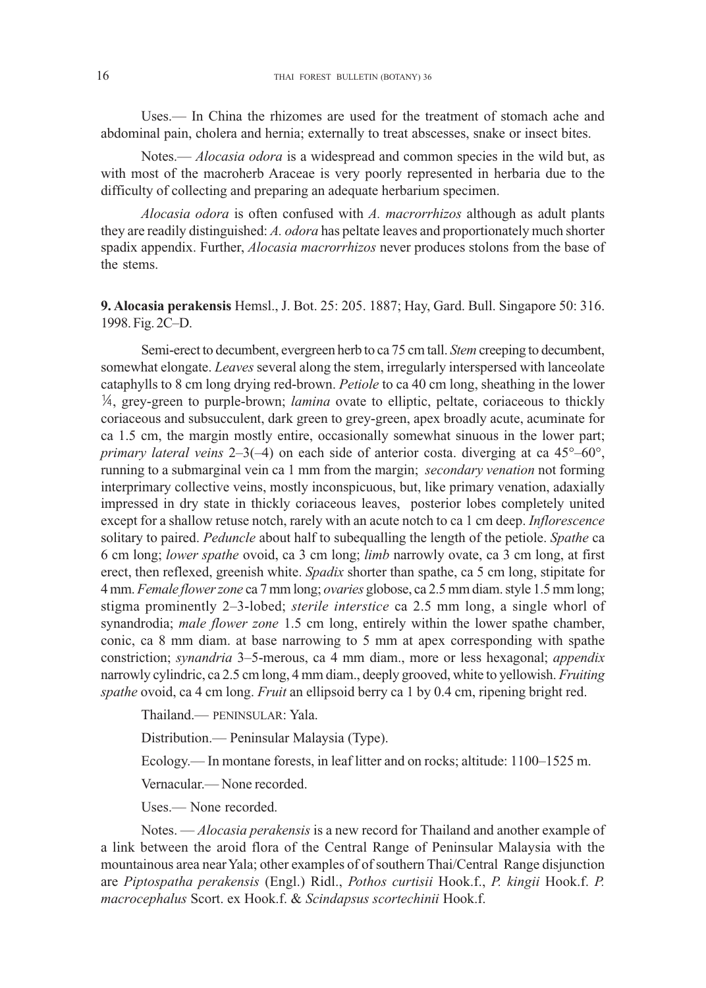Uses.— In China the rhizomes are used for the treatment of stomach ache and abdominal pain, cholera and hernia; externally to treat abscesses, snake or insect bites.

Notes.— *Alocasia odora* is a widespread and common species in the wild but, as with most of the macroherb Araceae is very poorly represented in herbaria due to the difficulty of collecting and preparing an adequate herbarium specimen.

*Alocasia odora* is often confused with *A. macrorrhizos* although as adult plants they are readily distinguished: *A. odora* has peltate leaves and proportionately much shorter spadix appendix. Further, *Alocasia macrorrhizos* never produces stolons from the base of the stems.

# **9. Alocasia perakensis** Hemsl., J. Bot. 25: 205. 1887; Hay, Gard. Bull. Singapore 50: 316. 1998. Fig. 2C–D.

Semi-erect to decumbent, evergreen herb to ca 75 cm tall. *Stem* creeping to decumbent, somewhat elongate. *Leaves* several along the stem, irregularly interspersed with lanceolate cataphylls to 8 cm long drying red-brown. *Petiole* to ca 40 cm long, sheathing in the lower 1/4, grey-green to purple-brown; *lamina* ovate to elliptic, peltate, coriaceous to thickly coriaceous and subsucculent, dark green to grey-green, apex broadly acute, acuminate for ca 1.5 cm, the margin mostly entire, occasionally somewhat sinuous in the lower part; *primary lateral veins* 2–3(–4) on each side of anterior costa. diverging at ca 45°–60°, running to a submarginal vein ca 1 mm from the margin; *secondary venation* not forming interprimary collective veins, mostly inconspicuous, but, like primary venation, adaxially impressed in dry state in thickly coriaceous leaves, posterior lobes completely united except for a shallow retuse notch, rarely with an acute notch to ca 1 cm deep. *Inflorescence* solitary to paired. *Peduncle* about half to subequalling the length of the petiole. *Spathe* ca 6 cm long; *lower spathe* ovoid, ca 3 cm long; *limb* narrowly ovate, ca 3 cm long, at first erect, then reflexed, greenish white. *Spadix* shorter than spathe, ca 5 cm long, stipitate for 4 mm. *Female flower zone* ca 7 mm long; *ovaries* globose, ca 2.5 mm diam. style 1.5 mm long; stigma prominently 2–3-lobed; *sterile interstice* ca 2.5 mm long, a single whorl of synandrodia; *male flower zone* 1.5 cm long, entirely within the lower spathe chamber, conic, ca 8 mm diam. at base narrowing to 5 mm at apex corresponding with spathe constriction; *synandria* 3–5-merous, ca 4 mm diam., more or less hexagonal; *appendix* narrowly cylindric, ca 2.5 cm long, 4 mm diam., deeply grooved, white to yellowish. *Fruiting spathe* ovoid, ca 4 cm long. *Fruit* an ellipsoid berry ca 1 by 0.4 cm, ripening bright red.

Thailand.— PENINSULAR: Yala.

Distribution.— Peninsular Malaysia (Type).

Ecology.— In montane forests, in leaf litter and on rocks; altitude: 1100–1525 m.

Vernacular.— None recorded.

Uses.— None recorded.

Notes. — *Alocasia perakensis* is a new record for Thailand and another example of a link between the aroid flora of the Central Range of Peninsular Malaysia with the mountainous area near Yala; other examples of of southern Thai/Central Range disjunction are *Piptospatha perakensis* (Engl.) Ridl., *Pothos curtisii* Hook.f., *P. kingii* Hook.f. *P. macrocephalus* Scort. ex Hook.f. & *Scindapsus scortechinii* Hook.f.